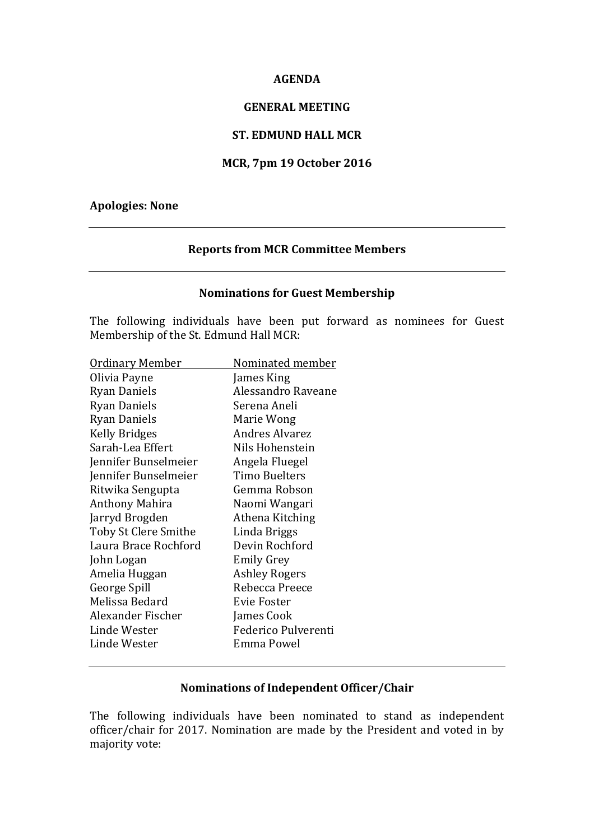#### **AGENDA**

### **GENERAL MEETING**

### **ST. EDMUND HALL MCR**

### **MCR, 7pm 19 October 2016**

### **Apologies: None**

### **Reports from MCR Committee Members**

### **Nominations for Guest Membership**

The following individuals have been put forward as nominees for Guest Membership of the St. Edmund Hall MCR:

| <u> Ordinary Member</u> | Nominated member      |
|-------------------------|-----------------------|
| Olivia Payne            | James King            |
| Ryan Daniels            | Alessandro Raveane    |
| Ryan Daniels            | Serena Aneli          |
| <b>Ryan Daniels</b>     | Marie Wong            |
| <b>Kelly Bridges</b>    | <b>Andres Alvarez</b> |
| Sarah-Lea Effert        | Nils Hohenstein       |
| Jennifer Bunselmeier    | Angela Fluegel        |
| Jennifer Bunselmeier    | Timo Buelters         |
| Ritwika Sengupta        | Gemma Robson          |
| Anthony Mahira          | Naomi Wangari         |
| Jarryd Brogden          | Athena Kitching       |
| Toby St Clere Smithe    | Linda Briggs          |
| Laura Brace Rochford    | Devin Rochford        |
| John Logan              | <b>Emily Grey</b>     |
| Amelia Huggan           | <b>Ashley Rogers</b>  |
| George Spill            | Rebecca Preece        |
| Melissa Bedard          | <b>Evie Foster</b>    |
| Alexander Fischer       | James Cook            |
| Linde Wester            | Federico Pulverenti   |
| Linde Wester            | Emma Powel            |
|                         |                       |

# **Nominations of Independent Officer/Chair**

The following individuals have been nominated to stand as independent officer/chair for 2017. Nomination are made by the President and voted in by majority vote: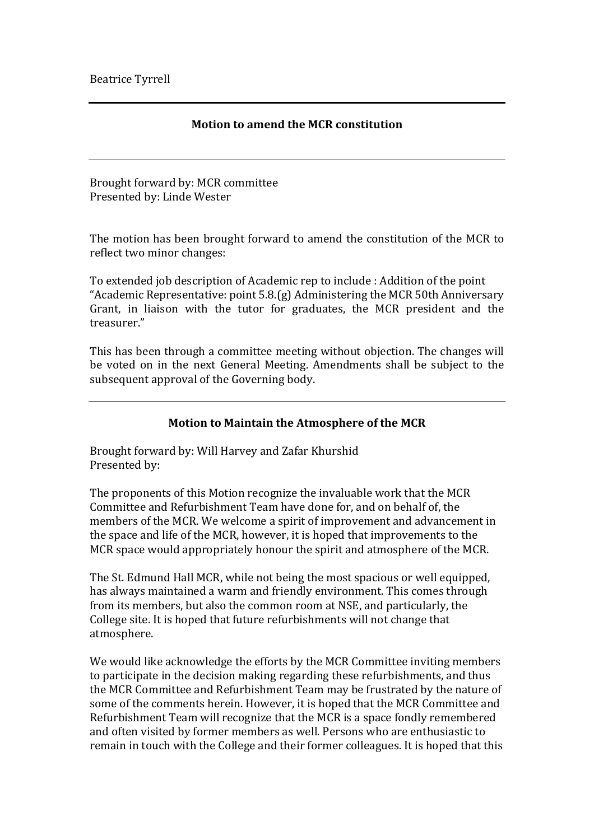## **Motion to amend the MCR constitution**

Brought forward by: MCR committee Presented by: Linde Wester

The motion has been brought forward to amend the constitution of the MCR to reflect two minor changes:

To extended job description of Academic rep to include : Addition of the point "Academic Representative: point  $5.8(g)$  Administering the MCR 50th Anniversary Grant, in liaison with the tutor for graduates, the MCR president and the treasurer."

This has been through a committee meeting without objection. The changes will be voted on in the next General Meeting. Amendments shall be subject to the subsequent approval of the Governing body.

### **Motion to Maintain the Atmosphere of the MCR**

Brought forward by: Will Harvey and Zafar Khurshid Presented by:

The proponents of this Motion recognize the invaluable work that the MCR Committee and Refurbishment Team have done for, and on behalf of, the members of the MCR. We welcome a spirit of improvement and advancement in the space and life of the MCR, however, it is hoped that improvements to the MCR space would appropriately honour the spirit and atmosphere of the MCR.

The St. Edmund Hall MCR, while not being the most spacious or well equipped, has always maintained a warm and friendly environment. This comes through from its members, but also the common room at NSE, and particularly, the College site. It is hoped that future refurbishments will not change that atmosphere.

We would like acknowledge the efforts by the MCR Committee inviting members to participate in the decision making regarding these refurbishments, and thus the MCR Committee and Refurbishment Team may be frustrated by the nature of some of the comments herein. However, it is hoped that the MCR Committee and Refurbishment Team will recognize that the MCR is a space fondly remembered and often visited by former members as well. Persons who are enthusiastic to remain in touch with the College and their former colleagues. It is hoped that this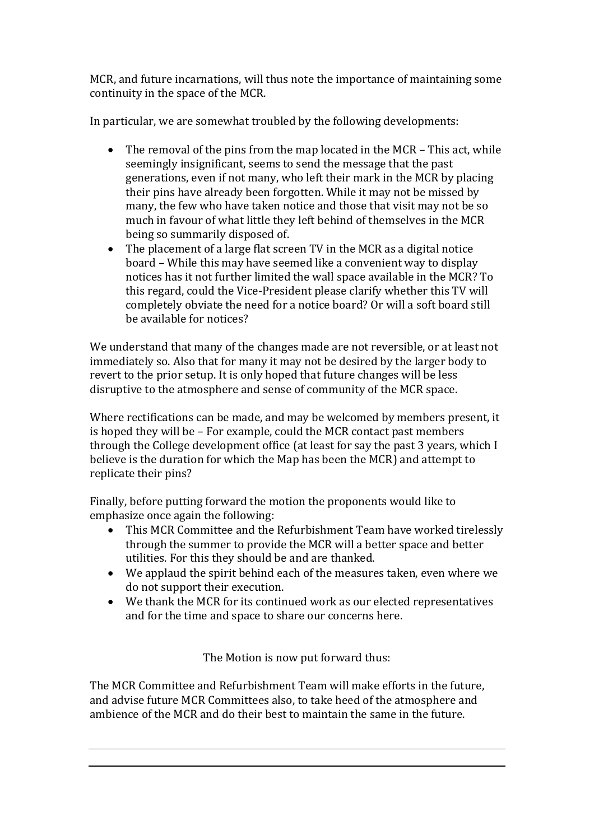MCR, and future incarnations, will thus note the importance of maintaining some continuity in the space of the MCR.

In particular, we are somewhat troubled by the following developments:

- The removal of the pins from the map located in the MCR This act, while seemingly insignificant, seems to send the message that the past generations, even if not many, who left their mark in the MCR by placing their pins have already been forgotten. While it may not be missed by many, the few who have taken notice and those that visit may not be so much in favour of what little they left behind of themselves in the MCR being so summarily disposed of.
- The placement of a large flat screen TV in the MCR as a digital notice board – While this may have seemed like a convenient way to display notices has it not further limited the wall space available in the MCR? To this regard, could the Vice-President please clarify whether this TV will completely obviate the need for a notice board? Or will a soft board still be available for notices?

We understand that many of the changes made are not reversible, or at least not immediately so. Also that for many it may not be desired by the larger body to revert to the prior setup. It is only hoped that future changes will be less disruptive to the atmosphere and sense of community of the MCR space.

Where rectifications can be made, and may be welcomed by members present, it is hoped they will be  $-$  For example, could the MCR contact past members through the College development office (at least for say the past 3 years, which I believe is the duration for which the Map has been the MCR) and attempt to replicate their pins?

Finally, before putting forward the motion the proponents would like to emphasize once again the following:

- This MCR Committee and the Refurbishment Team have worked tirelessly through the summer to provide the MCR will a better space and better utilities. For this they should be and are thanked.
- We applaud the spirit behind each of the measures taken, even where we do not support their execution.
- We thank the MCR for its continued work as our elected representatives and for the time and space to share our concerns here.

The Motion is now put forward thus:

The MCR Committee and Refurbishment Team will make efforts in the future, and advise future MCR Committees also, to take heed of the atmosphere and ambience of the MCR and do their best to maintain the same in the future.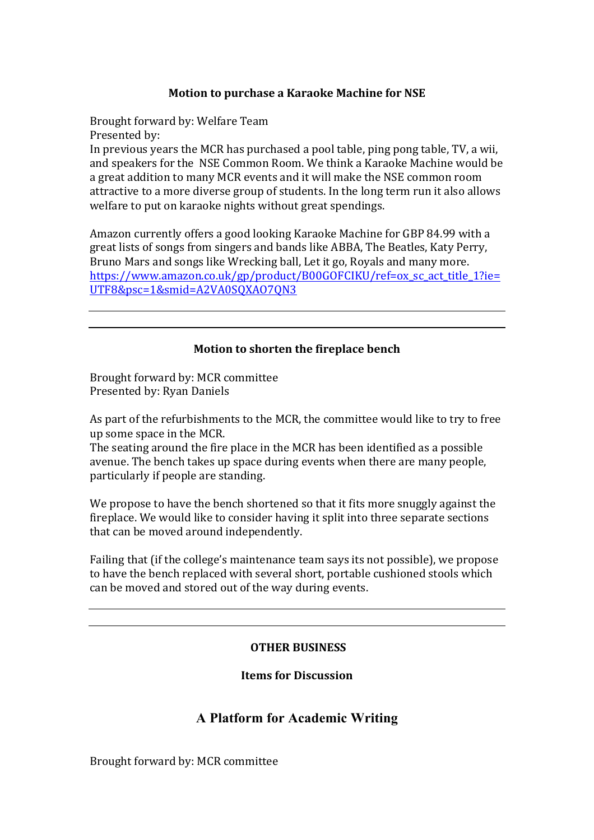# **Motion to purchase a Karaoke Machine for NSE**

Brought forward by: Welfare Team Presented by: In previous years the MCR has purchased a pool table, ping pong table, TV, a wii, and speakers for the NSE Common Room. We think a Karaoke Machine would be a great addition to many MCR events and it will make the NSE common room attractive to a more diverse group of students. In the long term run it also allows welfare to put on karaoke nights without great spendings.

Amazon currently offers a good looking Karaoke Machine for GBP 84.99 with a great lists of songs from singers and bands like ABBA, The Beatles, Katy Perry, Bruno Mars and songs like Wrecking ball, Let it go, Royals and many more. https://www.amazon.co.uk/gp/product/B00GOFCIKU/ref=ox\_sc\_act\_title\_1?ie= UTF8&psc=1&smid=A2VA0SQXAO7QN3

### **Motion to shorten the fireplace bench**

Brought forward by: MCR committee Presented by: Ryan Daniels

As part of the refurbishments to the MCR, the committee would like to try to free up some space in the MCR.

The seating around the fire place in the MCR has been identified as a possible avenue. The bench takes up space during events when there are many people, particularly if people are standing.

We propose to have the bench shortened so that it fits more snuggly against the fireplace. We would like to consider having it split into three separate sections that can be moved around independently.

Failing that (if the college's maintenance team says its not possible), we propose to have the bench replaced with several short, portable cushioned stools which can be moved and stored out of the way during events.

### **OTHER BUSINESS**

**Items for Discussion**

# **A Platform for Academic Writing**

Brought forward by: MCR committee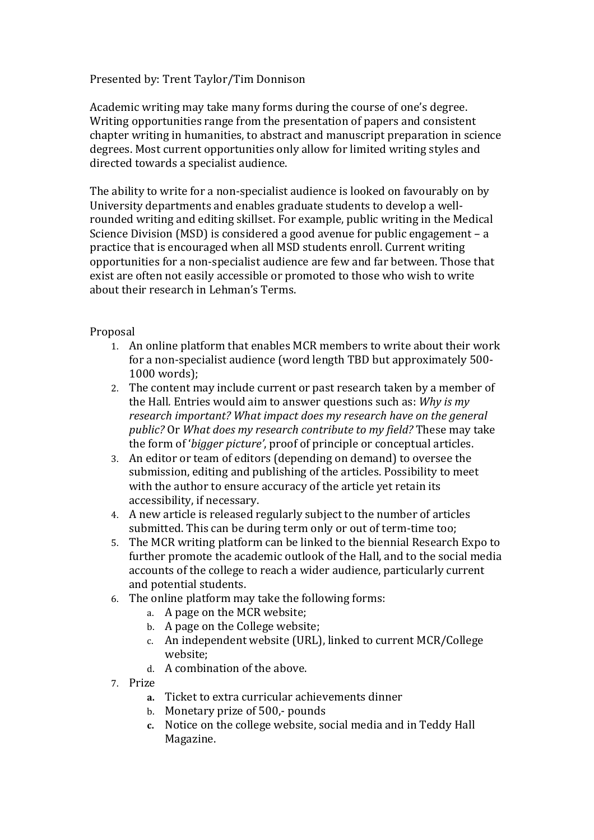# Presented by: Trent Taylor/Tim Donnison

Academic writing may take many forms during the course of one's degree. Writing opportunities range from the presentation of papers and consistent chapter writing in humanities, to abstract and manuscript preparation in science degrees. Most current opportunities only allow for limited writing styles and directed towards a specialist audience.

The ability to write for a non-specialist audience is looked on favourably on by University departments and enables graduate students to develop a wellrounded writing and editing skillset. For example, public writing in the Medical Science Division (MSD) is considered a good avenue for public engagement  $- a$ practice that is encouraged when all MSD students enroll. Current writing opportunities for a non-specialist audience are few and far between. Those that exist are often not easily accessible or promoted to those who wish to write about their research in Lehman's Terms.

# Proposal

- 1. An online platform that enables MCR members to write about their work for a non-specialist audience (word length TBD but approximately 500-1000 words);
- 2. The content may include current or past research taken by a member of the Hall. Entries would aim to answer questions such as: *Why is my* research *important?* What *impact does my research have on the general public?* Or *What does my research contribute to my field?* These may take the form of '*bigger picture'*, proof of principle or conceptual articles.
- 3. An editor or team of editors (depending on demand) to oversee the submission, editing and publishing of the articles. Possibility to meet with the author to ensure accuracy of the article yet retain its accessibility, if necessary.
- 4. A new article is released regularly subject to the number of articles submitted. This can be during term only or out of term-time too;
- 5. The MCR writing platform can be linked to the biennial Research Expo to further promote the academic outlook of the Hall, and to the social media accounts of the college to reach a wider audience, particularly current and potential students.
- 6. The online platform may take the following forms:
	- a. A page on the MCR website;
	- b. A page on the College website;
	- c. An independent website (URL), linked to current MCR/College website;
	- d. A combination of the above.
- 7. Prize
	- **a.** Ticket to extra curricular achievements dinner
	- b. Monetary prize of 500,- pounds
	- c. Notice on the college website, social media and in Teddy Hall Magazine.